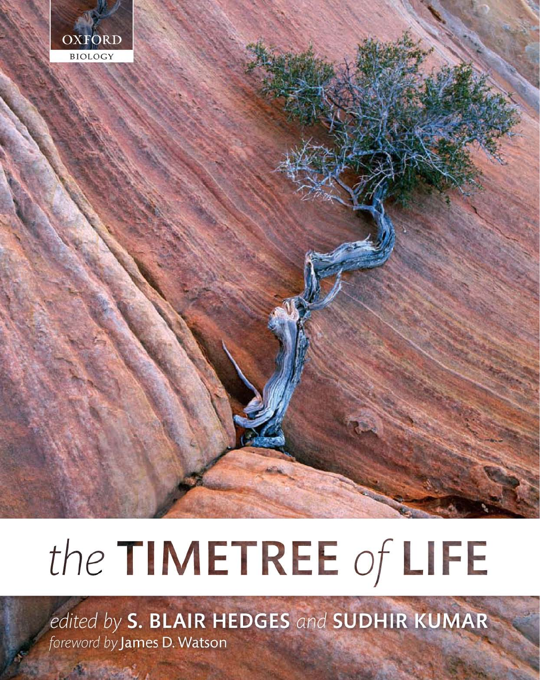

# the TIMETREE of LIFE

edited by S. BLAIR HEDGES and SUDHIR KUMAR foreword by James D. Watson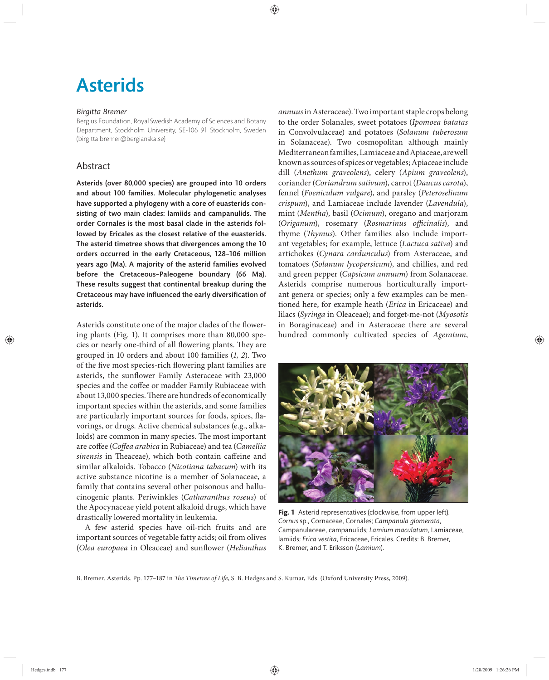# Asterids

### *Birgitta Bremer*

Bergius Foundation, Royal Swedish Academy of Sciences and Botany Department, Stockholm University, SE-106 91 Stockholm, Sweden (birgitta.bremer@bergianska.se)

# Abstract

Asterids (over 80,000 species) are grouped into 10 orders and about 100 families. Molecular phylogenetic analyses have supported a phylogeny with a core of euasterids consisting of two main clades: lamiids and campanulids. The order Cornales is the most basal clade in the asterids followed by Ericales as the closest relative of the euasterids. The asterid timetree shows that divergences among the 10 orders occurred in the early Cretaceous, 128-106 million years ago (Ma). A majority of the asterid families evolved before the Cretaceous-Paleogene boundary (66 Ma). These results suggest that continental breakup during the Cretaceous may have influenced the early diversification of asterids.

Asterids constitute one of the major clades of the flowering plants (Fig. 1). It comprises more than 80,000 species or nearly one-third of all flowering plants. They are grouped in 10 orders and about 100 families (*1, 2*). Two of the five most species-rich flowering plant families are asterids, the sunflower Family Asteraceae with 23,000 species and the coffee or madder Family Rubiaceae with about 13,000 species. There are hundreds of economically important species within the asterids, and some families are particularly important sources for foods, spices, flavorings, or drugs. Active chemical substances (e.g., alkaloids) are common in many species. The most important are coffee (*Coffea arabica* in Rubiaceae) and tea (*Camellia* sinensis in Theaceae), which both contain caffeine and similar alkaloids. Tobacco (*Nicotiana tabacum*) with its active substance nicotine is a member of Solanaceae, a family that contains several other poisonous and hallucinogenic plants. Periwinkles (*Catharanthus roseus*) of the Apocynaceae yield potent alkaloid drugs, which have drastically lowered mortality in leukemia.

A few asterid species have oil-rich fruits and are important sources of vegetable fatty acids; oil from olives (Olea europaea in Oleaceae) and sunflower (*Helianthus* 

*annuus* in Asteraceae). Two important staple crops belong to the order Solanales, sweet potatoes (*Ipomoea batatas* in Convolvulaceae) and potatoes (*Solanum tuberosum* in Solanaceae). Two cosmopolitan although mainly Mediterranean families, Lamiaceae and Apiaceae, are well known as sources of spices or vegetables; Apiaceae include dill (*Anethum graveolens*), celery (*Apium graveolens*), coriander (*Coriandrum sativum*), carrot (*Daucus carota*), fennel (*Foeniculum vulgare*), and parsley (*Peteroselinum crispum*), and Lamiaceae include lavender (*Lavendula*), mint (*Mentha*), basil (*Ocimum*), oregano and marjoram (Origanum), rosemary (Rosmarinus officinalis), and thyme (*Thymus*). Other families also include important vegetables; for example, lettuce (*Lactuca sativa*) and artichokes (*Cynara cardunculus*) from Asteraceae, and tomatoes (*Solanum lycopersicum*), and chillies, and red and green pepper (*Capsicum annuum*) from Solanaceae. Asterids comprise numerous horticulturally important genera or species; only a few examples can be mentioned here, for example heath (*Erica* in Ericaceae) and lilacs (*Syringa* in Oleaceae); and forget-me-not (*Myosotis* in Boraginaceae) and in Asteraceae there are several hundred commonly cultivated species of *Ageratum*,



**Fig. 1** Asterid representatives (clockwise, from upper left). *Cornus* sp., Cornaceae, Cornales; *Campanula glomerata*, Campanulaceae, campanulids; *Lamium maculatum*, Lamiaceae, lamiids; *Erica vestita*, Ericaceae, Ericales. Credits: B. Bremer, K. Bremer, and T. Eriksson (*Lamium*).

B. Bremer. Asterids. Pp. 177-187 in *The Timetree of Life*, S. B. Hedges and S. Kumar, Eds. (Oxford University Press, 2009).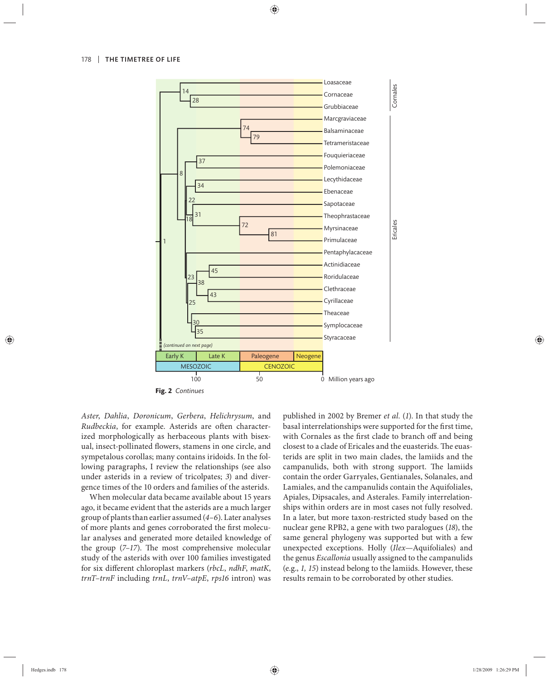

**Fig. 2** *Continues*

*Aster*, *Dahlia*, *Doronicum*, *Gerbera*, *Helichrysum*, and *Rudbeckia*, for example. Asterids are often characterized morphologically as herbaceous plants with bisexual, insect-pollinated flowers, stamens in one circle, and sympetalous corollas; many contains iridoids. In the following paragraphs, I review the relationships (see also under asterids in a review of tricolpates; 3) and divergence times of the 10 orders and families of the asterids.

When molecular data became available about 15 years ago, it became evident that the asterids are a much larger group of plants than earlier assumed (*4–6*). Later analyses of more plants and genes corroborated the first molecular analyses and generated more detailed knowledge of the group  $(7-17)$ . The most comprehensive molecular study of the asterids with over 100 families investigated for six different chloroplast markers (*rbcL*, *ndhF*, *matK*, *trnT*–*trnF* including *trnL*, *trnV–atpE*, *rps16* intron) was published in 2002 by Bremer *et al.* (*1*). In that study the basal interrelationships were supported for the first time, with Cornales as the first clade to branch off and being closest to a clade of Ericales and the euasterids. The euasterids are split in two main clades, the lamiids and the campanulids, both with strong support. The lamiids contain the order Garryales, Gentianales, Solanales, and Lamiales, and the campanulids contain the Aquifoliales, Apiales, Dipsacales, and Asterales. Family interrelationships within orders are in most cases not fully resolved. In a later, but more taxon-restricted study based on the nuclear gene RPB2, a gene with two paralogues (*18*), the same general phylogeny was supported but with a few unexpected exceptions. Holly (*Ilex*—Aquifoliales) and the genus *Escallonia* usually assigned to the campanulids (e.g., *1, 15*) instead belong to the lamiids. However, these results remain to be corroborated by other studies.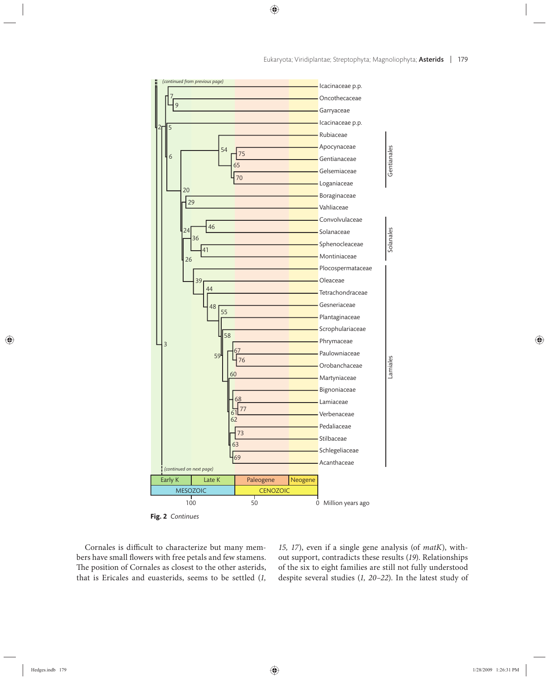

**Fig. 2** *Continues*

Cornales is difficult to characterize but many members have small flowers with free petals and few stamens. The position of Cornales as closest to the other asterids, that is Ericales and euasterids, seems to be settled (*1,*  *15, 17*), even if a single gene analysis (of *matK*), without support, contradicts these results (*19*). Relationships of the six to eight families are still not fully understood despite several studies (*1, 20–22*). In the latest study of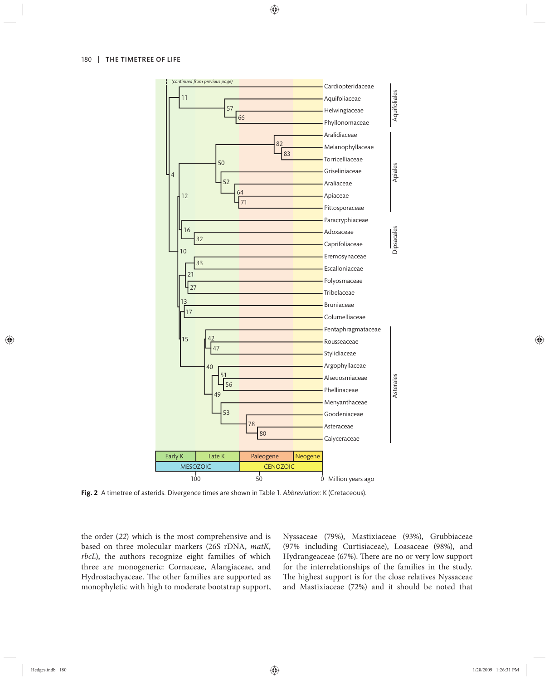

**Fig. 2** A timetree of asterids. Divergence times are shown in Table 1. *Abbreviation*: K (Cretaceous).

the order (*22*) which is the most comprehensive and is based on three molecular markers (26S rDNA, *matK*, *rbcL*), the authors recognize eight families of which three are monogeneric: Cornaceae, Alangiaceae, and Hydrostachyaceae. The other families are supported as monophyletic with high to moderate bootstrap support,

Nyssaceae (79%), Mastixiaceae (93%), Grubbiaceae (97% including Curtisiaceae), Loasaceae (98%), and Hydrangeaceae (67%). There are no or very low support for the interrelationships of the families in the study. The highest support is for the close relatives Nyssaceae and Mastixiaceae (72%) and it should be noted that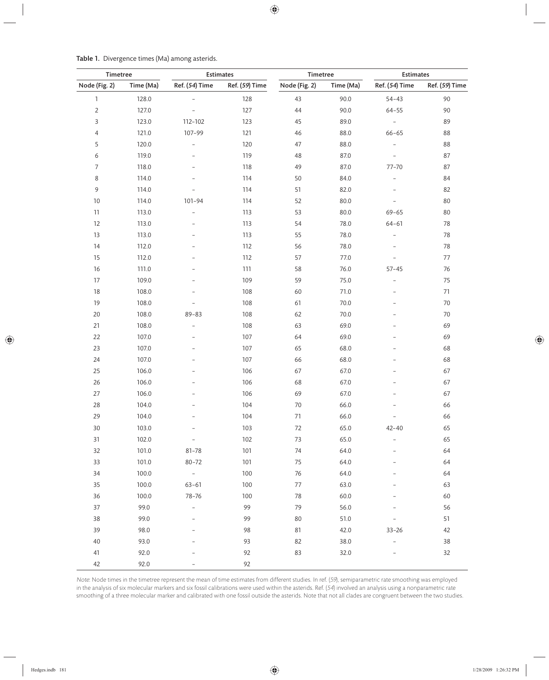| Timetree       |           | <b>Estimates</b>         |                | Timetree      |           | <b>Estimates</b>         |                |
|----------------|-----------|--------------------------|----------------|---------------|-----------|--------------------------|----------------|
| Node (Fig. 2)  | Time (Ma) | Ref. (54) Time           | Ref. (59) Time | Node (Fig. 2) | Time (Ma) | Ref. (54) Time           | Ref. (59) Time |
| $\mathbbm{1}$  | 128.0     |                          | 128            | 43            | 90.0      | $54 - 43$                | 90             |
| $\overline{2}$ | 127.0     |                          | 127            | 44            | 90.0      | $64 - 55$                | 90             |
| 3              | 123.0     | 112-102                  | 123            | 45            | 89.0      | $\equiv$                 | 89             |
| $\overline{4}$ | 121.0     | 107-99                   | 121            | 46            | 88.0      | $66 - 65$                | 88             |
| 5              | 120.0     | $\overline{\phantom{0}}$ | 120            | 47            | 88.0      | $\overline{\phantom{a}}$ | 88             |
| $\epsilon$     | 119.0     | $\overline{\phantom{0}}$ | 119            | 48            | 87.0      | $\overline{\phantom{a}}$ | 87             |
| $\overline{7}$ | 118.0     |                          | 118            | 49            | 87.0      | $77 - 70$                | 87             |
| $\,8\,$        | 114.0     |                          | 114            | 50            | 84.0      | $\overline{\phantom{0}}$ | 84             |
| $\,9$          | 114.0     |                          | 114            | 51            | 82.0      | $\overline{\phantom{0}}$ | 82             |
| 10             | 114.0     | $101 - 94$               | 114            | 52            | 80.0      | $\overline{\phantom{0}}$ | 80             |
| 11             | 113.0     | $\overline{\phantom{0}}$ | 113            | 53            | 80.0      | $69 - 65$                | 80             |
| 12             | 113.0     | $\overline{\phantom{0}}$ | 113            | 54            | 78.0      | $64 - 61$                | 78             |
| 13             | 113.0     |                          | 113            | 55            | 78.0      | $\overline{\phantom{m}}$ | 78             |
| $14$           | 112.0     |                          | 112            | 56            | 78.0      | $\overline{\phantom{0}}$ | 78             |
| 15             | 112.0     |                          | 112            | 57            | 77.0      | $\overline{a}$           | 77             |
| 16             | 111.0     |                          | 111            | 58            | 76.0      | $57 - 45$                | 76             |
| 17             | 109.0     |                          | 109            | 59            | 75.0      | $\qquad \qquad -$        | 75             |
| 18             | 108.0     |                          | 108            | 60            | 71.0      | $\overline{\phantom{a}}$ | 71             |
| 19             | 108.0     |                          | 108            | 61            | 70.0      | $\overline{a}$           | 70             |
| $20\,$         | 108.0     | $89 - 83$                | 108            | 62            | 70.0      | $\qquad \qquad -$        | 70             |
| 21             | 108.0     | $\qquad \qquad -$        | 108            | 63            | 69.0      |                          | 69             |
| 22             | 107.0     |                          | 107            | 64            | 69.0      |                          | 69             |
| 23             | 107.0     |                          | 107            | 65            | 68.0      | L,                       | 68             |
| 24             | 107.0     | $\overline{a}$           | 107            | 66            | 68.0      | $\overline{a}$           | 68             |
| 25             | 106.0     |                          | 106            | 67            | 67.0      | $\overline{a}$           | 67             |
| 26             | 106.0     | $\overline{a}$           | 106            | 68            | 67.0      | $\overline{a}$           | 67             |
| 27             | 106.0     |                          | 106            | 69            | 67.0      |                          | 67             |
| 28             | 104.0     |                          | 104            | 70            | 66.0      |                          | 66             |
| 29             | 104.0     |                          | 104            | 71            | 66.0      | $\overline{a}$           | 66             |
| 30             | 103.0     |                          | 103            | 72            | 65.0      | $42 - 40$                | 65             |
| 31             | 102.0     | $\qquad \qquad -$        | 102            | 73            | 65.0      |                          | 65             |
| 32             | 101.0     | $81 - 78$                | 101            | 74            | 64.0      |                          | 64             |
| 33             | 101.0     | $80 - 72$                | 101            | 75            | 64.0      |                          | 64             |
| 34             | 100.0     | $\sim$                   | 100            | 76            | 64.0      |                          | 64             |
| 35             | 100.0     | $63 - 61$                | 100            | 77            | 63.0      |                          | 63             |
| 36             | 100.0     | 78-76                    | 100            | 78            | 60.0      |                          | 60             |
| 37             | 99.0      | $\bar{ }$                | 99             | 79            | 56.0      |                          | 56             |
| 38             | 99.0      |                          | 99             | 80            | 51.0      |                          | 51             |
| 39             | 98.0      |                          | 98             | 81            | 42.0      | $33 - 26$                | 42             |
| 40             | 93.0      |                          | 93             | 82            | 38.0      | $\overline{\phantom{0}}$ | 38             |
| 41             | 92.0      |                          | 92             | 83            | 32.0      |                          | 32             |
| 42             | 92.0      |                          | 92             |               |           |                          |                |

Table 1. Divergence times (Ma) among asterids.

Note: Node times in the timetree represent the mean of time estimates from different studies. In ref. (59), semiparametric rate smoothing was employed in the analysis of six molecular markers and six fossil calibrations were used within the asterids. Ref. (54) involved an analysis using a nonparametric rate smoothing of a three molecular marker and calibrated with one fossil outside the asterids. Note that not all clades are congruent between the two studies.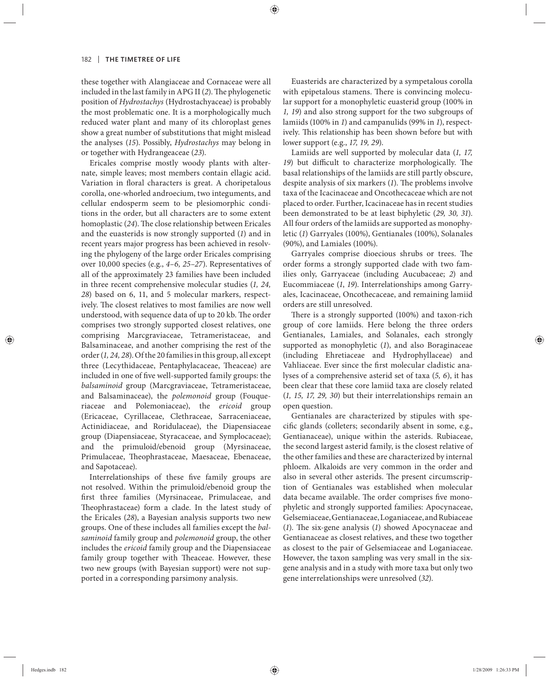these together with Alangiaceae and Cornaceae were all included in the last family in APG II (2). The phylogenetic position of *Hydrostachys* (Hydrostachyaceae) is probably the most problematic one. It is a morphologically much reduced water plant and many of its chloroplast genes show a great number of substitutions that might mislead the analyses (*15*). Possibly, *Hydrostachys* may belong in or together with Hydrangeaceae (*23*).

Ericales comprise mostly woody plants with alternate, simple leaves; most members contain ellagic acid. Variation in floral characters is great. A choripetalous corolla, one-whorled androecium, two integuments, and cellular endosperm seem to be plesiomorphic conditions in the order, but all characters are to some extent homoplastic (24). The close relationship between Ericales and the euasterids is now strongly supported (*1*) and in recent years major progress has been achieved in resolving the phylogeny of the large order Ericales comprising over 10,000 species (e.g., *4–6, 25–27*). Representatives of all of the approximately 23 families have been included in three recent comprehensive molecular studies (*1, 24, 28*) based on 6, 11, and 5 molecular markers, respectively. The closest relatives to most families are now well understood, with sequence data of up to 20 kb. The order comprises two strongly supported closest relatives, one comprising Marcgraviaceae, Tetrameristaceae, and Balsaminaceae, and another comprising the rest of the order (*1, 24, 28*). Of the 20 families in this group, all except three (Lecythidaceae, Pentaphylacaceae, Theaceae) are included in one of five well-supported family groups: the *balsaminoid* group (Marcgraviaceae, Tetrameristaceae, and Balsaminaceae), the *polemonoid* group (Fouqueriaceae and Polemoniaceae), the ericoid group (Ericaceae, Cyrillaceae, Clethraceae, Sarraceniaceae, Actinidiaceae, and Roridulaceae), the Diapensiaceae group (Diapensiaceae, Styracaceae, and Symplocaceae); and the primuloid/ebenoid group (Myrsinaceae, Primulaceae, Theophrastaceae, Maesaceae, Ebenaceae, and Sapotaceae).

Interrelationships of these five family groups are not resolved. Within the primuloid/ebenoid group the first three families (Myrsinaceae, Primulaceae, and Theophrastaceae) form a clade. In the latest study of the Ericales (*28*), a Bayesian analysis supports two new groups. One of these includes all families except the *balsaminoid* family group and *polemonoid* group, the other includes the *ericoid* family group and the Diapensiaceae family group together with Theaceae. However, these two new groups (with Bayesian support) were not supported in a corresponding parsimony analysis.

Euasterids are characterized by a sympetalous corolla with epipetalous stamens. There is convincing molecular support for a monophyletic euasterid group (100% in *1, 19*) and also strong support for the two subgroups of lamiids (100% in *1*) and campanulids (99% in *1*), respectively. This relationship has been shown before but with lower support (e.g., *17, 19, 29*).

Lamiids are well supported by molecular data (*1, 17,*  19) but difficult to characterize morphologically. The basal relationships of the lamiids are still partly obscure, despite analysis of six markers (1). The problems involve taxa of the Icacinaceae and Oncothecaceae which are not placed to order. Further, Icacinaceae has in recent studies been demonstrated to be at least biphyletic (*29, 30, 31*). All four orders of the lamiids are supported as monophyletic (*1*) Garryales (100%), Gentianales (100%), Solanales (90%), and Lamiales (100%).

Garryales comprise dioecious shrubs or trees. The order forms a strongly supported clade with two families only, Garryaceae (including Aucubaceae; *2*) and Eucommiaceae (*1*, *19*). Interrelationships among Garryales, Icacinaceae, Oncothecaceae, and remaining lamiid orders are still unresolved.

There is a strongly supported (100%) and taxon-rich group of core lamiids. Here belong the three orders Gentianales, Lamiales, and Solanales, each strongly supported as monophyletic (*1*), and also Boraginaceae (including Ehretiaceae and Hydrophyllaceae) and Vahliaceae. Ever since the first molecular cladistic analyses of a comprehensive asterid set of taxa (*5, 6*), it has been clear that these core lamiid taxa are closely related (*1, 15, 17, 29, 30*) but their interrelationships remain an open question.

Gentianales are characterized by stipules with specific glands (colleters; secondarily absent in some, e.g., Gentianaceae), unique within the asterids. Rubiaceae, the second largest asterid family, is the closest relative of the other families and these are characterized by internal phloem. Alkaloids are very common in the order and also in several other asterids. The present circumscription of Gentianales was established when molecular data became available. The order comprises five monophyletic and strongly supported families: Apocynaceae, Gelsemiaceae, Gentianaceae, Loganiaceae, and Rubiaceae (1). The six-gene analysis (1) showed Apocynaceae and Gentianaceae as closest relatives, and these two together as closest to the pair of Gelsemiaceae and Loganiaceae. However, the taxon sampling was very small in the sixgene analysis and in a study with more taxa but only two gene interrelationships were unresolved (*32*).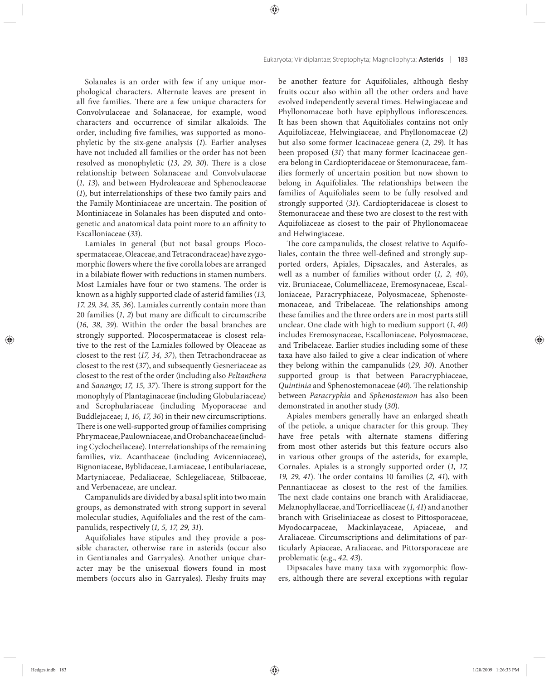Solanales is an order with few if any unique morphological characters. Alternate leaves are present in all five families. There are a few unique characters for Convolvulaceae and Solanaceae, for example, wood characters and occurrence of similar alkaloids. The order, including five families, was supported as monophyletic by the six-gene analysis (*1*). Earlier analyses have not included all families or the order has not been resolved as monophyletic (13, 29, 30). There is a close relationship between Solanaceae and Convolvulaceae (*1, 13*), and between Hydroleaceae and Sphenocleaceae (*1*), but interrelationships of these two family pairs and the Family Montiniaceae are uncertain. The position of Montiniaceae in Solanales has been disputed and ontogenetic and anatomical data point more to an affinity to Escalloniaceae (*33*).

Lamiales in general (but not basal groups Plocospermataceae, Oleaceae, and Tetracondraceae) have zygomorphic flowers where the five corolla lobes are arranged in a bilabiate flower with reductions in stamen numbers. Most Lamiales have four or two stamens. The order is known as a highly supported clade of asterid families (*13, 17, 29, 34, 35, 36*). Lamiales currently contain more than 20 families (*1*, *2*) but many are difficult to circumscribe (*16, 38, 39*). Within the order the basal branches are strongly supported. Plocospermataceae is closest relative to the rest of the Lamiales followed by Oleaceae as closest to the rest (*17, 34, 37*), then Tetrachondraceae as closest to the rest (*37*), and subsequently Gesneriaceae as closest to the rest of the order (including also *Peltanthera* and *Sanango*; 17, 15, 37). There is strong support for the monophyly of Plantaginaceae (including Globulariaceae) and Scrophulariaceae (including Myoporaceae and Buddlejaceae; *1, 16, 17, 36*) in their new circumscriptions. There is one well-supported group of families comprising Phrymaceae, Paulowniaceae, and Orobanchaceae (including Cyclocheilaceae). Interrelationships of the remaining families, viz. Acanthaceae (including Avicenniaceae), Bignoniaceae, Byblidaceae, Lamiaceae, Lentibulariaceae, Martyniaceae, Pedaliaceae, Schlegeliaceae, Stilbaceae, and Verbenaceae, are unclear.

Campanulids are divided by a basal split into two main groups, as demonstrated with strong support in several molecular studies, Aquifoliales and the rest of the campanulids, respectively (*1, 5, 17, 29, 31*).

Aquifoliales have stipules and they provide a possible character, otherwise rare in asterids (occur also in Gentianales and Garryales). Another unique character may be the unisexual flowers found in most members (occurs also in Garryales). Fleshy fruits may be another feature for Aquifoliales, although fleshy fruits occur also within all the other orders and have evolved independently several times. Helwingiaceae and Phyllonomaceae both have epiphyllous inflorescences. It has been shown that Aquifoliales contains not only Aquifoliaceae, Helwingiaceae, and Phyllonomaceae (*2*) but also some former Icacinaceae genera (*2, 29*). It has been proposed (*31*) that many former Icacinaceae genera belong in Cardiopteridaceae or Stemonuraceae, families formerly of uncertain position but now shown to belong in Aquifoliales. The relationships between the families of Aquifoliales seem to be fully resolved and strongly supported (*31*). Cardiopteridaceae is closest to Stemonuraceae and these two are closest to the rest with Aquifoliaceae as closest to the pair of Phyllonomaceae and Helwingiaceae.

The core campanulids, the closest relative to Aquifoliales, contain the three well-defined and strongly supported orders, Apiales, Dipsacales, and Asterales, as well as a number of families without order (*1, 2, 40*), viz. Bruniaceae, Columelliaceae, Eremosynaceae, Escalloniaceae, Paracryphiaceae, Polyosmaceae, Sphenostemonaceae, and Tribelaceae. The relationships among these families and the three orders are in most parts still unclear. One clade with high to medium support (*1*, *40*) includes Eremosynaceae, Escalloniaceae, Polyosmaceae, and Tribelaceae. Earlier studies including some of these taxa have also failed to give a clear indication of where they belong within the campanulids (29, 30). Another supported group is that between Paracryphiaceae, *Quintinia* and Sphenostemonaceae (40). The relationship between *Paracryphia* and *Sphenostemon* has also been demonstrated in another study (*30*).

Apiales members generally have an enlarged sheath of the petiole, a unique character for this group. They have free petals with alternate stamens differing from most other asterids but this feature occurs also in various other groups of the asterids, for example, Cornales. Apiales is a strongly supported order (*1, 17, 19, 29, 41*). The order contains 10 families (2, 41), with Pennantiaceae as closest to the rest of the families. The next clade contains one branch with Aralidiaceae, Melanophyllaceae, and Torricelliaceae (*1, 41*) and another branch with Griseliniaceae as closest to Pittosporaceae, Myodocarpaceae, Mackinlayaceae, Apiaceae, and Araliaceae. Circumscriptions and delimitations of particularly Apiaceae, Araliaceae, and Pittorsporaceae are problematic (e.g., *42, 43*).

Dipsacales have many taxa with zygomorphic flowers, although there are several exceptions with regular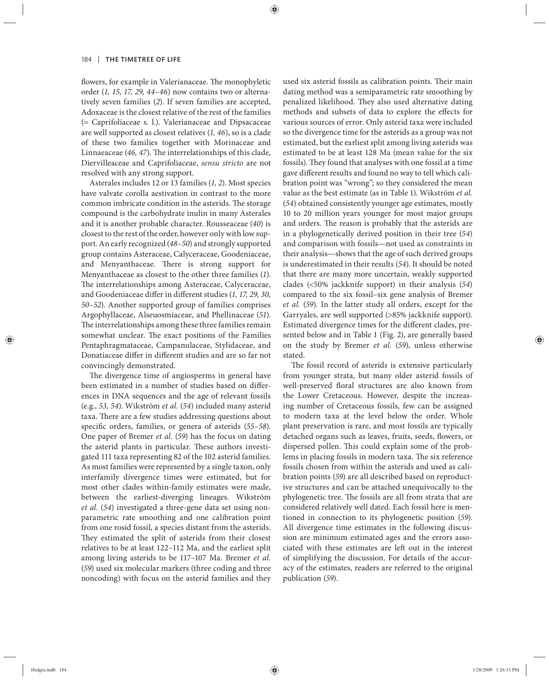flowers, for example in Valerianaceae. The monophyletic order (*1, 15, 17, 29, 44–46*) now contains two or alternatively seven families (*2*). If seven families are accepted, Adoxaceae is the closest relative of the rest of the families (= Caprifoliaceae s. l.). Valerianaceae and Dipsacaceae are well supported as closest relatives (*1, 46*), so is a clade of these two families together with Morinaceae and Linnaeaceae (46, 47). The interrelationships of this clade, Diervilleaceae and Caprifoliaceae, *sensu stricto* are not resolved with any strong support.

Asterales includes 12 or 13 families (*1, 2*). Most species have valvate corolla aestivation in contrast to the more common imbricate condition in the asterids. The storage compound is the carbohydrate inulin in many Asterales and it is another probable character. Rousseaceae (*40*) is closest to the rest of the order, however only with low support. An early recognized (*48–50*) and strongly supported group contains Asteraceae, Calyceraceae, Goodeniaceae, and Menyanthaceae. There is strong support for Menyanthaceae as closest to the other three families (*1*). The interrelationships among Asteraceae, Calyceraceae, and Goodeniaceae differ in different studies (1, 17, 29, 30, *50–52*). Another supported group of families comprises Argophyllaceae, Alseuosmiaceae, and Phellinaceae (*51*). The interrelationships among these three families remain somewhat unclear. The exact positions of the Families Pentaphragmataceae, Campanulaceae, Stylidaceae, and Donatiaceae differ in different studies and are so far not convincingly demonstrated.

The divergence time of angiosperms in general have been estimated in a number of studies based on differences in DNA sequences and the age of relevant fossils (e.g., *53, 54*). Wikström *et al.* (*54*) included many asterid taxa. There are a few studies addressing questions about specific orders, families, or genera of asterids (55–58). One paper of Bremer *et al.* (*59*) has the focus on dating the asterid plants in particular. These authors investigated 111 taxa representing 82 of the 102 asterid families. As most families were represented by a single taxon, only interfamily divergence times were estimated, but for most other clades within-family estimates were made, between the earliest-diverging lineages. Wikström *et al.* (*54*) investigated a three-gene data set using nonparametric rate smoothing and one calibration point from one rosid fossil, a species distant from the asterids. They estimated the split of asterids from their closest relatives to be at least 122–112 Ma, and the earliest split among living asterids to be 117–107 Ma. Bremer *et al.* (*59*) used six molecular markers (three coding and three noncoding) with focus on the asterid families and they used six asterid fossils as calibration points. Their main dating method was a semiparametric rate smoothing by penalized likelihood. They also used alternative dating methods and subsets of data to explore the effects for various sources of error. Only asterid taxa were included so the divergence time for the asterids as a group was not estimated, but the earliest split among living asterids was estimated to be at least 128 Ma (mean value for the six fossils). They found that analyses with one fossil at a time gave different results and found no way to tell which calibration point was "wrong"; so they considered the mean value as the best estimate (as in Table 1). Wikström *et al.* (*54*) obtained consistently younger age estimates, mostly 10 to 20 million years younger for most major groups and orders. The reason is probably that the asterids are in a phylogenetically derived position in their tree (*54*) and comparison with fossils—not used as constraints in their analysis—shows that the age of such derived groups is underestimated in their results (*54*). It should be noted that there are many more uncertain, weakly supported clades (<50% jackknife su pport) in their analysis (*54*) compared to the six fossil–six gene analysis of Bremer *et al.* (59). In the latter study all orders, except for the Garryales, are well supported (>85% jackknife support). Estimated divergence times for the different clades, presented below and in Table 1 (Fig. 2), are generally based on the study by Bremer et al. (59), unless otherwise stated.

The fossil record of asterids is extensive particularly from younger strata, but many older asterid fossils of well-preserved floral structures are also known from the Lower Cretaceous. However, despite the increasing number of Cretaceous fossils, few can be assigned to modern taxa at the level below the order. Whole plant preservation is rare, and most fossils are typically detached organs such as leaves, fruits, seeds, flowers, or dispersed pollen. This could explain some of the problems in placing fossils in modern taxa. The six reference fossils chosen from within the asterids and used as calibration points (*59*) are all described based on reproductive structures and can be attached unequivocally to the phylogenetic tree. The fossils are all from strata that are considered relatively well dated. Each fossil here is mentioned in connection to its phylogenetic position (*59*). All divergence time estimates in the following discussion are minimum estimated ages and the errors associated with these estimates are left out in the interest of simplifying the discussion. For details of the accuracy of the estimates, readers are referred to the original publication (*59*).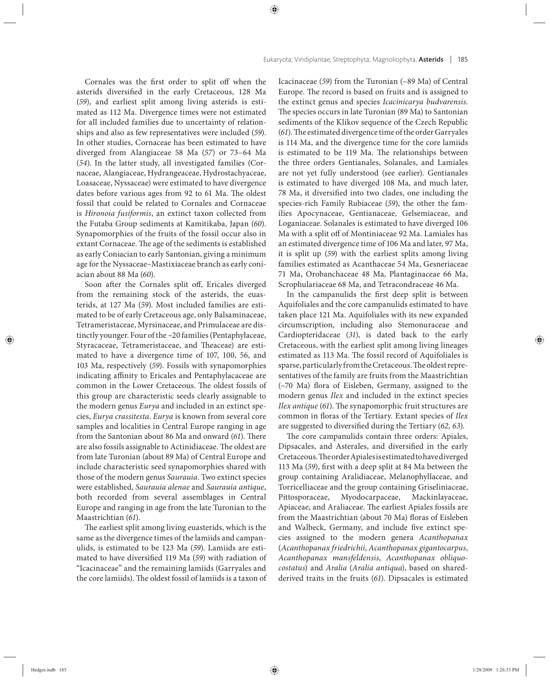Cornales was the first order to split off when the asterids diversified in the early Cretaceous, 128 Ma (*59*), and earliest split among living asterids is estimated as 112 Ma. Divergence times were not estimated for all included families due to uncertainty of relationships and also as few representatives were included (*59*). In other studies, Cornaceae has been estimated to have diverged from Alangiaceae 58 Ma (*57*) or 73–64 Ma (*54*). In the latter study, all investigated families (Cornaceae, Alangiaceae, Hydrangeaceae, Hydrostachyaceae, Loasaceae, Nyssaceae) were estimated to have divergence dates before various ages from 92 to 61 Ma. The oldest fossil that could be related to Cornales and Cornaceae is *Hironoia fusiformis*, an extinct taxon collected from the Futaba Group sediments at Kamitikaba, Japan (*60*). Synapomorphies of the fruits of the fossil occur also in extant Cornaceae. The age of the sediments is established as early Coniacian to early Santonian, giving a minimum age for the Nyssaceae–Mastixiaceae branch as early coniacian about 88 Ma (*60*).

Soon after the Cornales split off, Ericales diverged from the remaining stock of the asterids, the euasterids, at 127 Ma (59). Most included families are estimated to be of early Cretaceous age, only Balsaminaceae, Tetrameristaceae, Myrsinaceae, and Primulaceae are distinctly younger. Four of the ~20 families (Pentaphylaceae, Styracaceae, Tetrameristaceae, and Theaceae) are estimated to have a divergence time of 107, 100, 56, and 103 Ma, respectively (*59*). Fossils with synapomorphies indicating affinity to Ericales and Pentaphylacaceae are common in the Lower Cretaceous. The oldest fossils of this group are characteristic seeds clearly assignable to the modern genus *Eurya* and included in an extinct species, *Eurya crassitesta*. *Eurya* is known from several core samples and localities in Central Europe ranging in age from the Santonian about 86 Ma and onward (61). There are also fossils assignable to Actinidiaceae. The oldest are from late Turonian (about 89 Ma) of Central Europe and include characteristic seed synapomorphies shared with those of the modern genus *Saurauia*. Two extinct species were established, *Saurauia alenae* and *Saurauia antique*, both recorded from several assemblages in Central Europe and ranging in age from the late Turonian to the Maastrichtian (*61*).

The earliest split among living euasterids, which is the same as the divergence times of the lamiids and campanulids, is estimated to be 123 Ma (*59*). Lamiids are estimated to have diversified 119 Ma (59) with radiation of "Icacinaceae" and the remaining lamiids (Garryales and the core lamiids). The oldest fossil of lamiids is a taxon of

Icacinaceae (*59*) from the Turonian (~89 Ma) of Central Europe. The record is based on fruits and is assigned to the extinct genus and species *Icacinicarya budvarensis*. The species occurs in late Turonian (89 Ma) to Santonian sediments of the Klikov sequence of the Czech Republic (61). The estimated divergence time of the order Garryales is 114 Ma, and the divergence time for the core lamiids is estimated to be 119 Ma. The relationships between the three orders Gentianales, Solanales, and Lamiales are not yet fully understood (see earlier). Gentianales is estimated to have diverged 108 Ma, and much later, 78 Ma, it diversified into two clades, one including the species-rich Family Rubiaceae (*59*), the other the families Apocynaceae, Gentianaceae, Gelsemiaceae, and Loganiaceae. Solanales is estimated to have diverged 106 Ma with a split off of Montiniaceae 92 Ma. Lamiales has an estimated divergence time of 106 Ma and later, 97 Ma, it is split up (*59*) with the earliest splits among living families estimated as Acanthaceae 54 Ma, Gesneriaceae 71 Ma, Orobanchaceae 48 Ma, Plantaginaceae 66 Ma, Scrophulariaceae 68 Ma, and Tetracondraceae 46 Ma.

In the campanulids the first deep split is between Aquifoliales and the core campanulids estimated to have taken place 121 Ma. Aquifoliales with its new expanded circumscription, including also Stemonuraceae and Cardiopteridaceae (*31*), is dated back to the early Cretaceous, with the earliest split among living lineages estimated as 113 Ma. The fossil record of Aquifoliales is sparse, particularly from the Cretaceous. The oldest representatives of the family are fruits from the Maastrichtian  $(\sim 70$  Ma) flora of Eisleben, Germany, assigned to the modern genus *Ilex* and included in the extinct species *Ilex antique* (61). The synapomorphic fruit structures are common in floras of the Tertiary. Extant species of *Ilex* are suggested to diversified during the Tertiary (62, 63).

The core campanulids contain three orders: Apiales, Dipsacales, and Asterales, and diversified in the early Cretaceous. The order Apiales is estimated to have diverged 113 Ma (59), first with a deep split at 84 Ma between the group containing Aralidiaceae, Melanophyllaceae, and Torricelliaceae and the group containing Griseliniaceae, Pittosporaceae, Myodocarpaceae, Mackinlayaceae, Apiaceae, and Araliaceae. The earliest Apiales fossils are from the Maastrichtian (about 70 Ma) floras of Eisleben and Walbeck, Germany, and include five extinct species assigned to the modern genera *Acanthopanax* (*Acanthopanax friedrichii*, *Acanthopanax gigantocarpus*, *Acanthopanax mansfeldensis*, *Acanthopanax obliquocostatus*) and *Aralia* (*Aralia antiqua*), based on sharedderived traits in the fruits (*61*). Dipsacales is estimated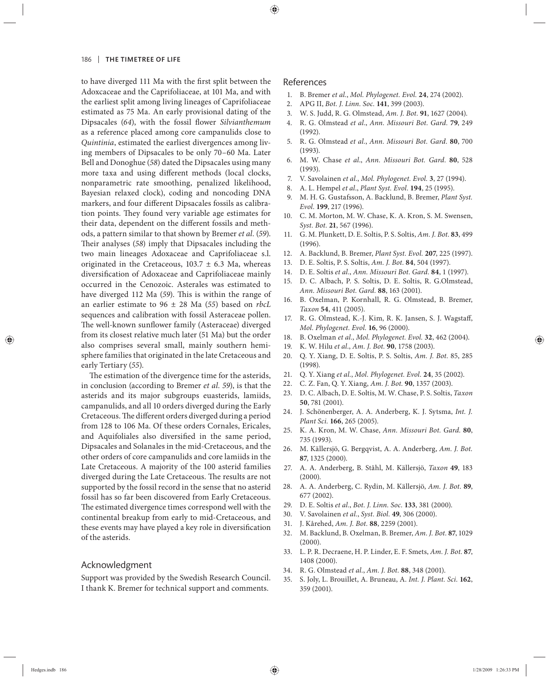to have diverged 111 Ma with the first split between the Adoxcaceae and the Caprifoliaceae, at 101 Ma, and with the earliest split among living lineages of Caprifoliaceae estimated as 75 Ma. An early provisional dating of the Dipsacales (64), with the fossil flower *Silvianthemum* as a reference placed among core campanulids close to *Quintinia*, estimated the earliest divergences among living members of Dipsacales to be only 70–60 Ma. Later Bell and Donoghue (*58*) dated the Dipsacales using many more taxa and using different methods (local clocks, nonparametric rate smoothing, penalized likelihood, Bayesian relaxed clock), coding and noncoding DNA markers, and four different Dipsacales fossils as calibration points. They found very variable age estimates for their data, dependent on the different fossils and methods, a pattern similar to that shown by Bremer *et al.* (*59*). Their analyses (58) imply that Dipsacales including the two main lineages Adoxaceae and Caprifoliaceae s.l. originated in the Cretaceous,  $103.7 \pm 6.3$  Ma, whereas diversification of Adoxaceae and Caprifoliaceae mainly occurred in the Cenozoic. Asterales was estimated to have diverged 112 Ma (59). This is within the range of an earlier estimate to 96 ± 28 Ma (*55*) based on *rbcL* sequences and calibration with fossil Asteraceae pollen. The well-known sunflower family (Asteraceae) diverged from its closest relative much later (51 Ma) but the order also comprises several small, mainly southern hemisphere families that originated in the late Cretaceous and early Tertiary (*55*).

The estimation of the divergence time for the asterids, in conclusion (according to Bremer *et al. 59*), is that the asterids and its major subgroups euasterids, lamiids, campanulids, and all 10 orders diverged during the Early Cretaceous. The different orders diverged during a period from 128 to 106 Ma. Of these orders Cornales, Ericales, and Aquifoliales also diversified in the same period, Dipsacales and Solanales in the mid-Cretaceous, and the other orders of core campanulids and core lamiids in the Late Cretaceous. A majority of the 100 asterid families diverged during the Late Cretaceous. The results are not supported by the fossil record in the sense that no asterid fossil has so far been discovered from Early Cretaceous. The estimated divergence times correspond well with the continental breakup from early to mid-Cretaceous, and these events may have played a key role in diversification of the asterids.

### Acknowledgment

Support was provided by the Swedish Research Council. I thank K. Bremer for technical support and comments.

## References

- 1. B. Bremer *et al.*, *Mol. Phylogenet. Evol.* **24**, 274 (2002).
- 2. APG II, *Bot. J. Linn. Soc.* **141**, 399 (2003).
- 3. W. S. Judd, R. G. Olmstead, *Am. J. Bot.* **91**, 1627 (2004).
- 4. R. G. Olmstead *et al*., *Ann. Missouri Bot. Gard.* **79**, 249 (1992).
- 5. R. G. Olmstead *et al.*, *Ann. Missouri Bot. Gard.* **80**, 700 (1993).
- 6. M. W. Chase *et al*., *Ann. Missouri Bot. Gard.* **80**, 528 (1993).
- 7. V. Savolainen *et al.*, *Mol. Phylogenet. Evol.* **3**, 27 (1994).
- 8. A. L. Hempel *et al*., *Plant Syst. Evol.* **194**, 25 (1995).
- 9. M. H. G. Gustafsson, A. Backlund, B. Bremer, *Plant Syst. Evol.* **199**, 217 (1996).
- 10. C. M. Morton, M. W. Chase, K. A. Kron, S. M. Swensen, *Syst. Bot.* **21**, 567 (1996).
- 11. G. M. Plunkett, D. E. Soltis, P. S. Soltis, *Am. J. Bot.* **83**, 499 (1996).
- 12. A. Backlund, B. Bremer, *Plant Syst. Evol.* **207**, 225 (1997).
- 13. D. E. Soltis, P. S. Soltis, *Am. J. Bot.* **84**, 504 (1997).
- 14. D. E. Soltis *et al.*, *Ann. Missouri Bot. Gard.* **84**, 1 (1997).
- 15. D. C. Albach, P. S. Soltis, D. E. Soltis, R. G.Olmstead, *Ann. Missouri Bot. Gard.* **88**, 163 (2001).
- 16. B. Oxelman, P. Kornhall, R. G. Olmstead, B. Bremer, *Taxon* **54**, 411 (2005).
- 17. R. G. Olmstead, K.-J. Kim, R. K. Jansen, S. J. Wagstaff, *Mol. Phylogenet. Evol.* **16**, 96 (2000).
- 18. B. Oxelman *et al.*, *Mol. Phylogenet. Evol.* **32**, 462 (2004).
- 19. K. W. Hilu *et al.*, *Am. J. Bot.* **90**, 1758 (2003).
- 20. Q. Y. Xiang, D. E. Soltis, P. S. Soltis, *Am. J. Bot.* 85, 285 (1998).
- 21. Q. Y. Xiang *et al.*, *Mol. Phylogenet. Evol.* **24**, 35 (2002).
- 22. C. Z. Fan, Q. Y. Xiang, *Am. J. Bot.* **90**, 1357 (2003).
- 23. D. C. Albach, D. E. Soltis, M. W. Chase, P. S. Soltis, *Taxon* **50**, 781 (2001).
- 24. J. Schönenberger, A. A. Anderberg, K. J. Sytsma, *Int. J. Plant Sci.* **166**, 265 (2005).
- 25. K. A. Kron, M. W. Chase, *Ann. Missouri Bot. Gard.* **80**, 735 (1993).
- 26. M. Källersjö, G. Bergqvist, A. A. Anderberg, *Am. J. Bot.* **87**, 1325 (2000).
- 27. A. A. Anderberg, B. Ståhl, M. Källersjö, *Taxon* **49**, 183 (2000).
- 28. A. A. Anderberg, C. Rydin, M. Källersjö, *Am. J. Bot.* **89**, 677 (2002).
- 29. D. E. Soltis *et al.*, *Bot. J. Linn. Soc.* **133**, 381 (2000).
- 30. V. Savolainen *et al.*, *Syst. Biol.* **49**, 306 (2000).
- 31. J. Kårehed, *Am. J. Bot.* **88**, 2259 (2001).
- 32. M. Backlund, B. Oxelman, B. Bremer, *Am. J. Bot.* **87**, 1029 (2000).
- 33. L. P. R. Decraene, H. P. Linder, E. F. Smets, *Am. J. Bot.* **87**, 1408 (2000).
- 34. R. G. Olmstead *et al.*, *Am. J. Bot.* **88**, 348 (2001).
- 35. S. Joly, L. Brouillet, A. Bruneau, A. *Int. J. Plant. Sci.* **162**, 359 (2001).